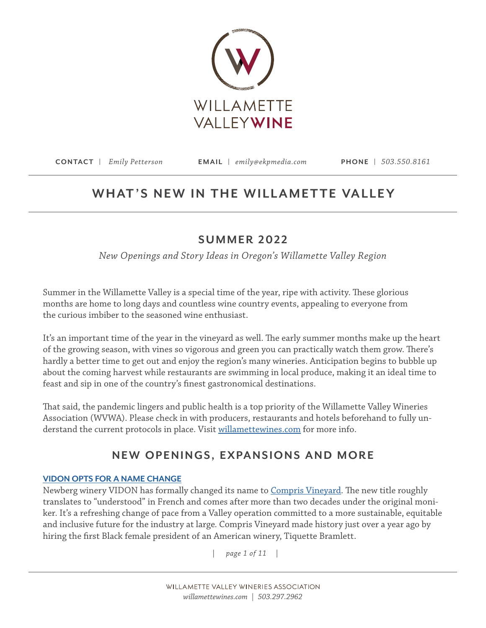

# WHAT'S NEW IN THE WILLAMETTE VALLEY

## **SUMMER 2022**

*New Openings and Story Ideas in Oregon's Willamette Valley Region*

Summer in the Willamette Valley is a special time of the year, ripe with activity. These glorious months are home to long days and countless wine country events, appealing to everyone from the curious imbiber to the seasoned wine enthusiast.

It's an important time of the year in the vineyard as well. The early summer months make up the heart of the growing season, with vines so vigorous and green you can practically watch them grow. There's hardly a better time to get out and enjoy the region's many wineries. Anticipation begins to bubble up about the coming harvest while restaurants are swimming in local produce, making it an ideal time to feast and sip in one of the country's finest gastronomical destinations.

That said, the pandemic lingers and public health is a top priority of the Willamette Valley Wineries Association (WVWA). Please check in with producers, restaurants and hotels beforehand to fully understand the current protocols in place. Visit [willamettewines.com](http://willamettewines.com) for more info.

## **NEW OPENINGS, EXPANSIONS AND MORE**

## **[VIDON OPTS FOR A NAME CHANGE](https://comprisvineyard.com/)**

Newberg winery VIDON has formally changed its name to [Compris Vineyard.](https://comprisvineyard.com/) The new title roughly translates to "understood" in French and comes after more than two decades under the original moniker. It's a refreshing change of pace from a Valley operation committed to a more sustainable, equitable and inclusive future for the industry at large*.* Compris Vineyard made history just over a year ago by hiring the first Black female president of an American winery, Tiquette Bramlett.

*| page 1 of 11 |*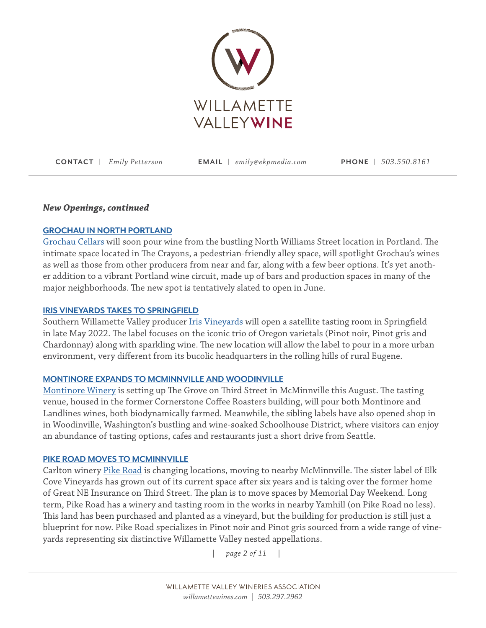

## *New Openings, continued*

## **[GROCHAU IN NORTH PORTLAND](https://grochaucellars.com/)**

[Grochau Cellars](https://grochaucellars.com/) will soon pour wine from the bustling North Williams Street location in Portland. The intimate space located in The Crayons, a pedestrian-friendly alley space, will spotlight Grochau's wines as well as those from other producers from near and far, along with a few beer options. It's yet another addition to a vibrant Portland wine circuit, made up of bars and production spaces in many of the major neighborhoods. The new spot is tentatively slated to open in June.

## **[IRIS VINEYARDS TAKES TO SPRINGFIELD](https://irisvineyards.com/)**

Southern Willamette Valley producer *Iris Vineyards* will open a satellite tasting room in Springfield in late May 2022. The label focuses on the iconic trio of Oregon varietals (Pinot noir, Pinot gris and Chardonnay) along with sparkling wine. The new location will allow the label to pour in a more urban environment, very different from its bucolic headquarters in the rolling hills of rural Eugene.

## **[MONTINORE EXPANDS TO MCMINNVILLE AND WOODINVILLE](https://www.montinore.com/)**

[Montinore Winery](https://www.montinore.com/) is setting up The Grove on Third Street in McMinnville this August. The tasting venue, housed in the former Cornerstone Coffee Roasters building, will pour both Montinore and Landlines wines, both biodynamically farmed. Meanwhile, the sibling labels have also opened shop in in Woodinville, Washington's bustling and wine-soaked Schoolhouse District, where visitors can enjoy an abundance of tasting options, cafes and restaurants just a short drive from Seattle.

## **[PIKE ROAD MOVES TO MCMINNVILLE](https://www.pikeroadwines.com/)**

Carlton winery [Pike Road](https://www.pikeroadwines.com/) is changing locations, moving to nearby McMinnville. The sister label of Elk Cove Vineyards has grown out of its current space after six years and is taking over the former home of Great NE Insurance on Third Street. The plan is to move spaces by Memorial Day Weekend. Long term, Pike Road has a winery and tasting room in the works in nearby Yamhill (on Pike Road no less). This land has been purchased and planted as a vineyard, but the building for production is still just a blueprint for now. Pike Road specializes in Pinot noir and Pinot gris sourced from a wide range of vineyards representing six distinctive Willamette Valley nested appellations.

*| page 2 of 11 |*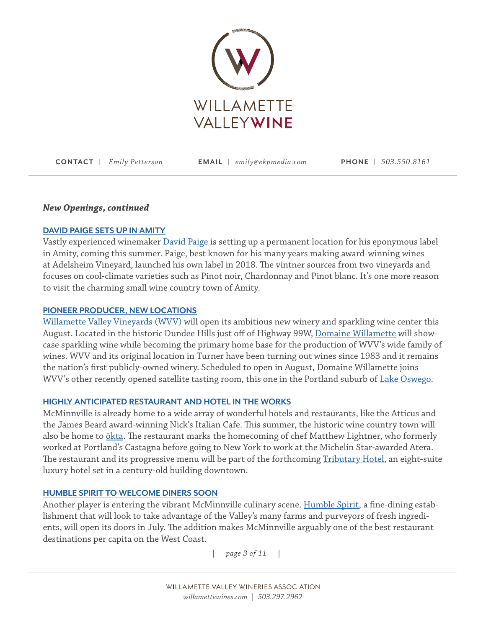

## *New Openings, continued*

## **[DAVID PAIGE SETS UP IN AMITY](https://www.paigewines.com/)**

Vastly experienced winemaker [David Paige](https://www.paigewines.com/) is setting up a permanent location for his eponymous label in Amity, coming this summer. Paige, best known for his many years making award-winning wines at Adelsheim Vineyard, launched his own label in 2018. The vintner sources from two vineyards and focuses on cool-climate varieties such as Pinot noir, Chardonnay and Pinot blanc. It's one more reason to visit the charming small wine country town of Amity.

## **[PIONEER PRODUCER, NEW LOCATIONS](https://www.wvv.com)**

[Willamette Valley Vineyards \(WVV\)](https://www.wvv.com) will open its ambitious new winery and sparkling wine center this August. Located in the historic Dundee Hills just off of Highway 99W, [Domaine Willamette](https://www.wvv.com/Blog) will showcase sparkling wine while becoming the primary home base for the production of WVV's wide family of wines. WVV and its original location in Turner have been turning out wines since 1983 and it remains the nation's first publicly-owned winery. Scheduled to open in August, Domaine Willamette joins WVV's other recently opened satellite tasting room, this one in the Portland suburb of [Lake Oswego](https://www.wvv.com/Lake-Oswego).

## **[HIGHLY ANTICIPATED RESTAURANT AND HOTEL IN THE WORKS](https://oktaoregon.com/)**

McMinnville is already home to a wide array of wonderful hotels and restaurants, like the Atticus and the James Beard award-winning Nick's Italian Cafe. This summer, the historic wine country town will also be home to <u>ōkta</u>. The restaurant marks the homecoming of chef Matthew Lightner, who formerly worked at Portland's Castagna before going to New York to work at the Michelin Star-awarded Atera. The restaurant and its progressive menu will be part of the forthcoming [Tributary Hotel](https://www.tributaryhotel.com/), an eight-suite luxury hotel set in a century-old building downtown.

## **[HUMBLE SPIRIT TO WELCOME DINERS SOON](https://www.humblespirit.love/)**

Another player is entering the vibrant McMinnville culinary scene. [Humble Spirit](https://www.humblespirit.love/), a fine-dining establishment that will look to take advantage of the Valley's many farms and purveyors of fresh ingredients, will open its doors in July. The addition makes McMinnville arguably one of the best restaurant destinations per capita on the West Coast.

*| page 3 of 11 |*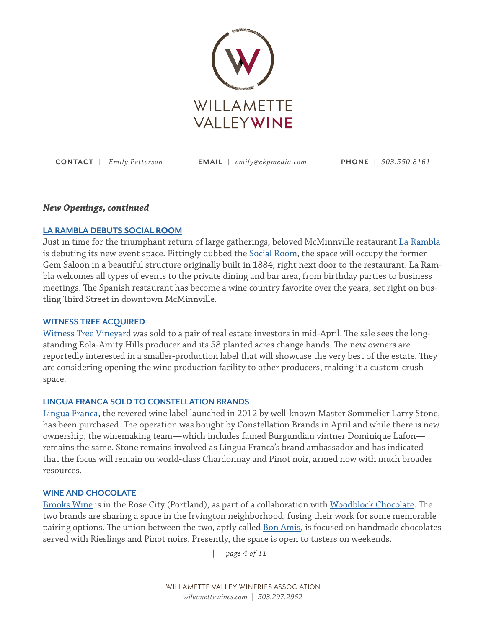

## *New Openings, continued*

## **[LA RAMBLA DEBUTS SOCIAL ROOM](https://www.eventective.com/mcminnville-or/la-rambla-social-room-729600.html)**

Just in time for the triumphant return of large gatherings, beloved McMinnville restaurant [La Rambla](https://www.eventective.com/mcminnville-or/la-rambla-social-room-729600.html) is debuting its new event space. Fittingly dubbed the [Social Room,](https://www.eventective.com/mcminnville-or/la-rambla-social-room-729600.html) the space will occupy the former Gem Saloon in a beautiful structure originally built in 1884, right next door to the restaurant. La Rambla welcomes all types of events to the private dining and bar area, from birthday parties to business meetings. The Spanish restaurant has become a wine country favorite over the years, set right on bustling Third Street in downtown McMinnville.

## **[WITNESS TREE ACQUIRED](http://www.witnesstreevineyard.com/)**

[Witness Tree Vineyard](http://www.witnesstreevineyard.com/) was sold to a pair of real estate investors in mid-April. The sale sees the longstanding Eola-Amity Hills producer and its 58 planted acres change hands. The new owners are reportedly interested in a smaller-production label that will showcase the very best of the estate. They are considering opening the wine production facility to other producers, making it a custom-crush space.

## **[LINGUA FRANCA SOLD TO CONSTELLATION BRANDS](https://www.linguafranca.wine/)**

[Lingua Franca,](https://www.linguafranca.wine/) the revered wine label launched in 2012 by well-known Master Sommelier Larry Stone, has been purchased. The operation was bought by Constellation Brands in April and while there is new ownership, the winemaking team—which includes famed Burgundian vintner Dominique Lafon remains the same. Stone remains involved as Lingua Franca's brand ambassador and has indicated that the focus will remain on world-class Chardonnay and Pinot noir, armed now with much broader resources.

## **WINE AND CHOCOLATE**

[Brooks Wine](https://www.brookswine.com/) is in the Rose City (Portland), as part of a collaboration with [Woodblock Chocolate](https://woodblockchocolate.com/). The two brands are sharing a space in the Irvington neighborhood, fusing their work for some memorable pairing options. The union between the two, aptly called **Bon Amis**, is focused on handmade chocolates served with Rieslings and Pinot noirs. Presently, the space is open to tasters on weekends.

*| page 4 of 11 |*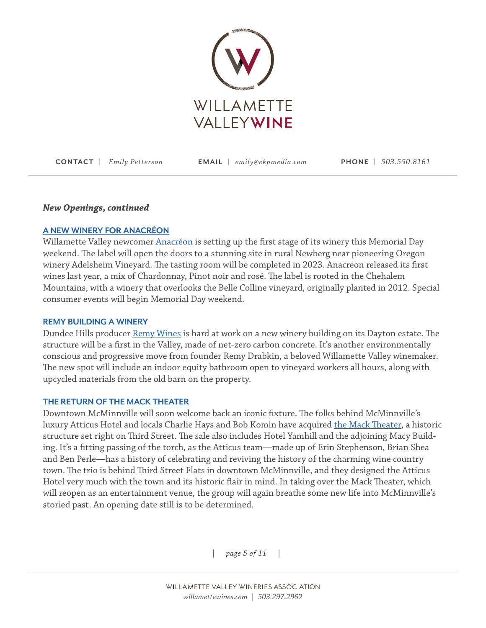

#### *New Openings, continued*

## **[A NEW WINERY FOR ANACRÉON](https://www.anacreonwinery.com/)**

Willamette Valley newcomer [Anacréon](https://www.anacreonwinery.com/) is setting up the first stage of its winery this Memorial Day weekend. The label will open the doors to a stunning site in rural Newberg near pioneering Oregon winery Adelsheim Vineyard. The tasting room will be completed in 2023. Anacreon released its first wines last year, a mix of Chardonnay, Pinot noir and rosé. The label is rooted in the Chehalem Mountains, with a winery that overlooks the Belle Colline vineyard, originally planted in 2012. Special consumer events will begin Memorial Day weekend.

#### **[REMY BUILDING A WINERY](https://remywines.com/)**

Dundee Hills producer [Remy Wines](https://remywines.com/) is hard at work on a new winery building on its Dayton estate. The structure will be a first in the Valley, made of net-zero carbon concrete. It's another environmentally conscious and progressive move from founder Remy Drabkin, a beloved Willamette Valley winemaker. The new spot will include an indoor equity bathroom open to vineyard workers all hours, along with upcycled materials from the old barn on the property.

#### **[THE RETURN OF THE MACK THEATER](https://themacktheater.com/)**

Downtown McMinnville will soon welcome back an iconic fixture. The folks behind McMinnville's luxury Atticus Hotel and locals Charlie Hays and Bob Komin have acquired [the Mack Theater,](https://themacktheater.com/) a historic structure set right on Third Street. The sale also includes Hotel Yamhill and the adjoining Macy Building. It's a fitting passing of the torch, as the Atticus team—made up of Erin Stephenson, Brian Shea and Ben Perle—has a history of celebrating and reviving the history of the charming wine country town. The trio is behind Third Street Flats in downtown McMinnville, and they designed the Atticus Hotel very much with the town and its historic flair in mind. In taking over the Mack Theater, which will reopen as an entertainment venue, the group will again breathe some new life into McMinnville's storied past. An opening date still is to be determined.

*| page 5 of 11 |*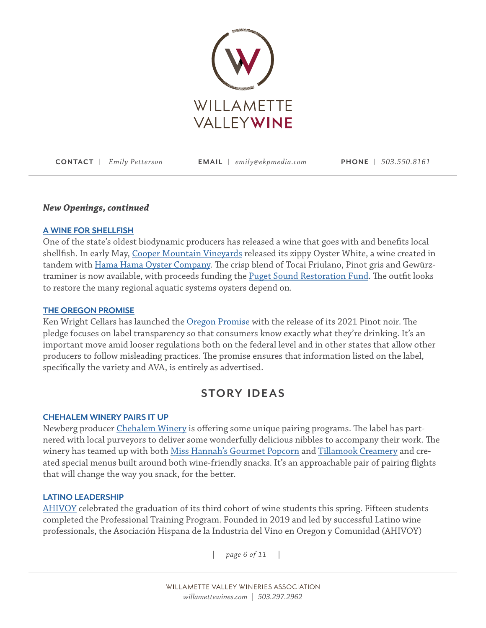

#### *New Openings, continued*

#### **[A WINE FOR SHELLFISH](https://hamahamaoysters.com/)**

One of the state's oldest biodynamic producers has released a wine that goes with and benefits local shellfish. In early May, [Cooper Mountain Vineyards](https://www.coopermountainwine.com/) released its zippy Oyster White, a wine created in tandem with [Hama Hama Oyster Company](https://hamahamaoysters.com/). The crisp blend of Tocai Friulano, Pinot gris and Gewürztraminer is now available, with proceeds funding the [Puget Sound Restoration Fund](https://restorationfund.org/). The outfit looks to restore the many regional aquatic systems oysters depend on.

#### **[THE OREGON PROMISE](https://kenwrightcellars.com/trade/oregon-promise/)**

Ken Wright Cellars has launched the [Oregon Promise](https://kenwrightcellars.com/trade/oregon-promise/) with the release of its 2021 Pinot noir. The pledge focuses on label transparency so that consumers know exactly what they're drinking. It's an important move amid looser regulations both on the federal level and in other states that allow other producers to follow misleading practices. The promise ensures that information listed on the label, specifically the variety and AVA, is entirely as advertised.

## **STORY IDEAS**

#### **CHEHALEM WINERY PAIRS IT UP**

Newberg producer [Chehalem Winery](https://www.chehalemwines.com/) is offering some unique pairing programs. The label has partnered with local purveyors to deliver some wonderfully delicious nibbles to accompany their work. The winery has teamed up with both [Miss Hannah's Gourmet Popcorn](https://www.misshannahspopcorn.com/shop) and [Tillamook Creamery](https://www.tillamook.com/visit-us/creamery) and created special menus built around both wine-friendly snacks. It's an approachable pair of pairing flights that will change the way you snack, for the better.

#### **[LATINO LEADERSHIP](https://ahivoyoregon.org/)**

[AHIVOY](https://ahivoyoregon.org/) celebrated the graduation of its third cohort of wine students this spring. Fifteen students completed the Professional Training Program. Founded in 2019 and led by successful Latino wine professionals, the Asociación Hispana de la Industria del Vino en Oregon y Comunidad (AHIVOY)

*| page 6 of 11 |*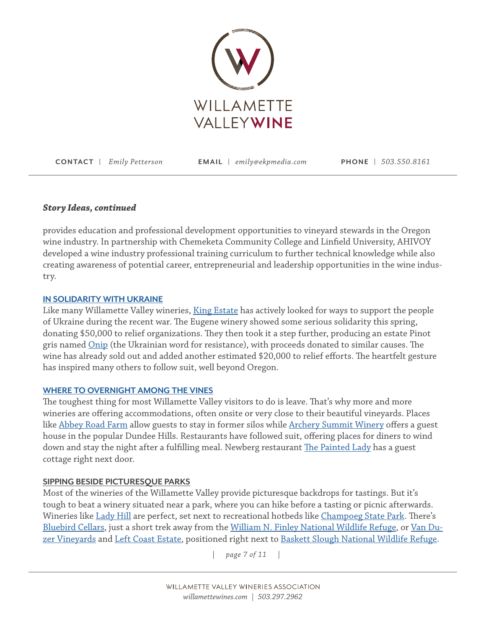

## *Story Ideas, continued*

provides education and professional development opportunities to vineyard stewards in the Oregon wine industry. In partnership with Chemeketa Community College and Linfield University, AHIVOY developed a wine industry professional training curriculum to further technical knowledge while also creating awareness of potential career, entrepreneurial and leadership opportunities in the wine industry.

## **[IN](https://kingestate.com/products/2021-king-estate-willamette-valley-onip-pinot-gris/) SOLIDARITY WITH UKRAINE**

Like many Willamette Valley wineries, [King Estate](https://kingestate.com/products/2021-king-estate-willamette-valley-onip-pinot-gris/) has actively looked for ways to support the people of Ukraine during the recent war. The Eugene winery showed some serious solidarity this spring, donating \$50,000 to relief organizations. They then took it a step further, producing an estate Pinot gris named [Onip](https://www.youtube.com/watch?v=tR21WKTtfcA) (the Ukrainian word for resistance), with proceeds donated to similar causes. The wine has already sold out and added another estimated \$20,000 to relief efforts. The heartfelt gesture has inspired many others to follow suit, well beyond Oregon.

## **[WHERE TO OVERNIGHT AMONG THE VINES](https://www.willamettewines.com/plan-your-visit/where-to-stay/?view=grid&sort=qualityScore)**

The toughest thing for most Willamette Valley visitors to do is leave. That's why more and more wineries are offering accommodations, often onsite or very close to their beautiful vineyards. Places like [Abbey Road Farm](https://abbeyroadfarm.com/index.html) allow guests to stay in former silos while [Archery Summit Winery](https://www.archerysummit.com/) offers a guest house in the popular Dundee Hills. Restaurants have followed suit, offering places for diners to wind down and stay the night after a fulfilling meal. Newberg restaurant [The Painted Lady](https://www.thepaintedladycottage.com/) has a guest cottage right next door.

## **SIPPING BESIDE PICTURESQUE PARKS**

Most of the wineries of the Willamette Valley provide picturesque backdrops for tastings. But it's tough to beat a winery situated near a park, where you can hike before a tasting or picnic afterwards. Wineries like <u>[Lady Hill](https://www.ladyhill.com/)</u> are perfect, set next to recreational hotbeds like <u>Champoeg State Park</u>. There's [Bluebird Cellars,](https://www.bluebirdhillcellars.wine/) just a short trek away from the [William N. Finley National Wildlife Refuge](https://www.fws.gov/refuge/william-l-finley), or [Van Du](https://www.vanduzer.com/)[zer Vineyards](https://www.vanduzer.com/) and [Left Coast Estate,](https://leftcoastwine.com/) positioned right next to [Baskett Slough National Wildlife Refuge.](https://www.fws.gov/refuge/baskett-slough)

*| page 7 of 11 |*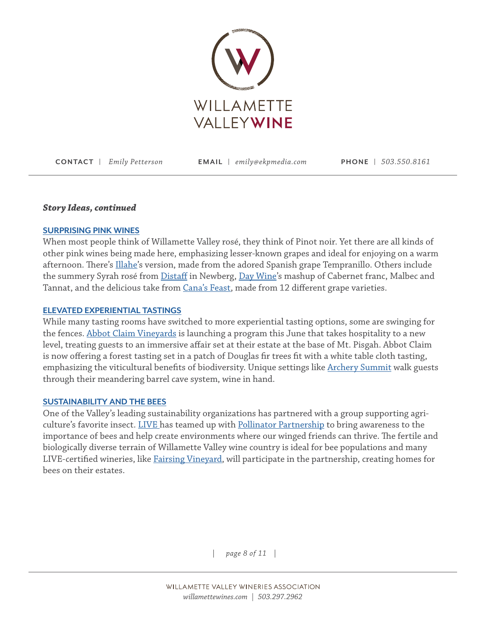

#### *Story Ideas, continued*

#### **SURPRISING PINK WINES**

When most people think of Willamette Valley rosé, they think of Pinot noir. Yet there are all kinds of other pink wines being made here, emphasizing lesser-known grapes and ideal for enjoying on a warm afternoon. There's [Illahe](https://www.illahevineyards.com/)'s version, made from the adored Spanish grape Tempranillo. Others include the summery Syrah rosé from [Distaff](https://www.distaffwine.com/) in Newberg, [Day Wine'](https://www.daywines.com/)s mashup of Cabernet franc, Malbec and Tannat, and the delicious take from [Cana's Feast,](https://canasfeast.com/) made from 12 different grape varieties.

#### **ELEVATED EXPERIENTIAL TASTINGS**

While many tasting rooms have switched to more experiential tasting options, some are swinging for the fences. [Abbot Claim Vineyards](https://www.abbottclaim.com/) is launching a program this June that takes hospitality to a new level, treating guests to an immersive affair set at their estate at the base of Mt. Pisgah. Abbot Claim is now offering a forest tasting set in a patch of Douglas fir trees fit with a white table cloth tasting, emphasizing the viticultural benefits of biodiversity. Unique settings like [Archery Summit](https://www.archerysummit.com/) walk guests through their meandering barrel cave system, wine in hand.

#### **SUSTAINABILITY AND THE BEES**

One of the Valley's leading sustainability organizations has partnered with a group supporting agriculture's favorite insect. [LIVE](https://livecertified.org/) has teamed up with [Pollinator Partnership](https://www.pollinator.org/) to bring awareness to the importance of bees and help create environments where our winged friends can thrive. The fertile and biologically diverse terrain of Willamette Valley wine country is ideal for bee populations and many LIVE-certified wineries, like [Fairsing Vineyard,](https://fairsingvineyard.com/vineyard/) will participate in the partnership, creating homes for bees on their estates.

*| page 8 of 11 |*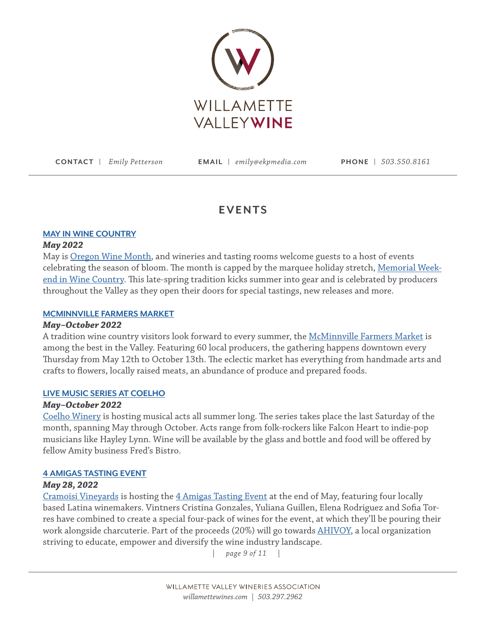

## **EVENTS**

## **[MAY IN WINE COUNTRY](https://www.willamettewines.com/may-in-wine-country/)**

## *May 2022*

May is [Oregon Wine Month](https://www.willamettewines.com/oregon-wine-month/), and wineries and tasting rooms welcome guests to a host of events celebrating the season of bloom. The month is capped by the marquee holiday stretch, [Memorial Week](https://www.willamettewines.com/may-in-wine-country/)[end in Wine Country](https://www.willamettewines.com/may-in-wine-country/). This late-spring tradition kicks summer into gear and is celebrated by producers throughout the Valley as they open their doors for special tastings, new releases and more.

## **[MCMINNVILLE FARMERS MARKET](https://www.macdowntown.com/market)**

## *May–October 2022*

A tradition wine country visitors look forward to every summer, the [McMinnville Farmers Market](https://www.macdowntown.com/market) is among the best in the Valley. Featuring 60 local producers, the gathering happens downtown every Thursday from May 12th to October 13th. The eclectic market has everything from handmade arts and crafts to flowers, locally raised meats, an abundance of produce and prepared foods.

## **[LIVE MUSIC SERIES AT COELHO](https://coelhowinery.com/)**

## *May–October 2022*

[Coelho Winery](https://coelhowinery.com/) is hosting musical acts all summer long. The series takes place the last Saturday of the month, spanning May through October. Acts range from folk-rockers like Falcon Heart to indie-pop musicians like Hayley Lynn. Wine will be available by the glass and bottle and food will be offered by fellow Amity business Fred's Bistro.

## **4 AMIGAS TASTING EVENT**

## *May 28, 2022*

[Cramoisi Vineyards](https://www.cramoisivineyard.com/) is hosting the [4 Amigas Tasting Event](https://www.eventbrite.com/e/las-4-amigas-unique-wines-unique-experience-at-cramoisi-vineyard-tickets-326858050227) at the end of May, featuring four locally based Latina winemakers. Vintners Cristina Gonzales, Yuliana Guillen, Elena Rodriguez and Sofia Torres have combined to create a special four-pack of wines for the event, at which they'll be pouring their work alongside charcuterie. Part of the proceeds (20%) will go towards [AHIVOY,](https://ahivoyoregon.org/) a local organization striving to educate, empower and diversify the wine industry landscape.

*| page 9 of 11 |*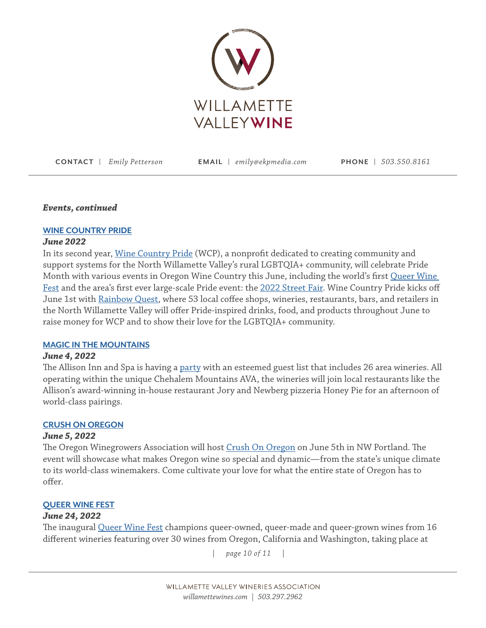

## *Events, continued*

## **WINE COUNTRY PRIDE**

## *June 2022*

In its second year, [Wine Country Pride](https://www.winecountrypride.com/) (WCP), a nonprofit dedicated to creating community and support systems for the North Willamette Valley's rural LGBTQIA+ community, will celebrate Pride Month with various events in Oregon Wine Country this June, including the world's first [Queer Wine](https://www.winecountrypride.com/event-details/queer-wine-fest-1)  Fest and the area's first ever large-scale Pride event: the [2022 Street Fair.](https://www.winecountrypride.com/event-details/2022-street-fair-1) Wine Country Pride kicks off June 1st with [Rainbow Quest](https://www.winecountrypride.com/event-details/rainbow-quest-2), where 53 local coffee shops, wineries, restaurants, bars, and retailers in the North Willamette Valley will offer Pride-inspired drinks, food, and products throughout June to raise money for WCP and to show their love for the LGBTQIA+ community.

## **[MAGIC IN THE MOUNTAINS](https://chehalemmountains.org/events/magic-in-the-mountains-a-chehalem-mountains-ava-tasting/)**

## *June 4, 2022*

The Allison Inn and Spa is having a [party](https://chehalemmountains.org/events/magic-in-the-mountains-a-chehalem-mountains-ava-tasting/) with an esteemed guest list that includes 26 area wineries. All operating within the unique Chehalem Mountains AVA, the wineries will join local restaurants like the Allison's award-winning in-house restaurant Jory and Newberg pizzeria Honey Pie for an afternoon of world-class pairings.

## **[CRUSH ON OREGON](https://crushonoregon.com/)**

## *June 5, 2022*

The Oregon Winegrowers Association will host [Crush On Oregon](https://crushonoregon.com/) on June 5th in NW Portland. The event will showcase what makes Oregon wine so special and dynamic—from the state's unique climate to its world-class winemakers. Come cultivate your love for what the entire state of Oregon has to offer.

#### **[QUEER WINE FEST](https://remywines.com/2022/03/23/queer-wine-fest-invite/)**

## *June 24, 2022*

The inaugural [Queer Wine Fest](https://remywines.com/2022/03/23/queer-wine-fest-invite/) champions queer-owned, queer-made and queer-grown wines from 16 different wineries featuring over 30 wines from Oregon, California and Washington, taking place at

*| page 10 of 11 |*